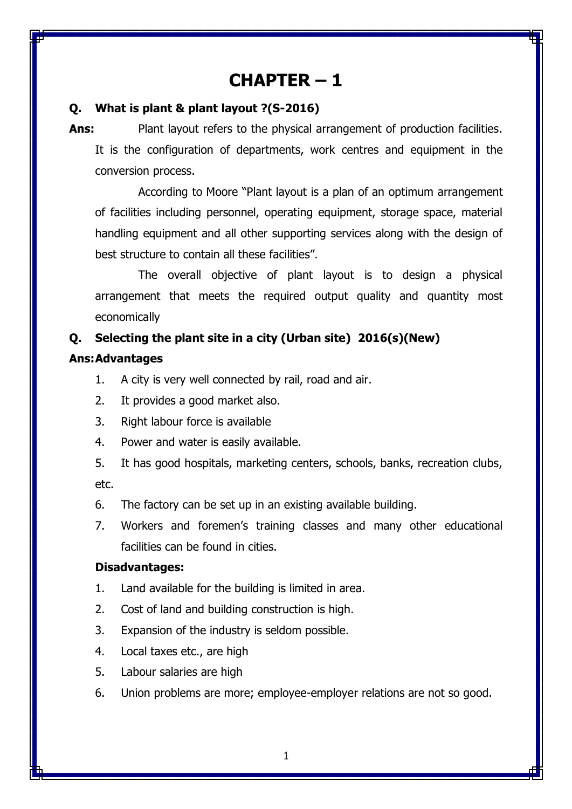# **CHAPTER – 1**

## **Q. What is plant & plant layout ?(S-2016)**

**Ans:** Plant layout refers to the physical arrangement of production facilities. It is the configuration of departments, work centres and equipment in the conversion process.

According to Moore "Plant layout is a plan of an optimum arrangement of facilities including personnel, operating equipment, storage space, material handling equipment and all other supporting services along with the design of best structure to contain all these facilities".

The overall objective of plant layout is to design a physical arrangement that meets the required output quality and quantity most economically

## **Q. Selecting the plant site in a city (Urban site) 2016(s)(New)**

## **Ans:Advantages**

- 1. A city is very well connected by rail, road and air.
- 2. It provides a good market also.
- 3. Right labour force is available
- 4. Power and water is easily available.
- 5. It has good hospitals, marketing centers, schools, banks, recreation clubs, etc.
- 6. The factory can be set up in an existing available building.
- 7. Workers and foremen's training classes and many other educational facilities can be found in cities.

## **Disadvantages:**

- 1. Land available for the building is limited in area.
- 2. Cost of land and building construction is high.
- 3. Expansion of the industry is seldom possible.
- 4. Local taxes etc., are high
- 5. Labour salaries are high
- 6. Union problems are more; employee-employer relations are not so good.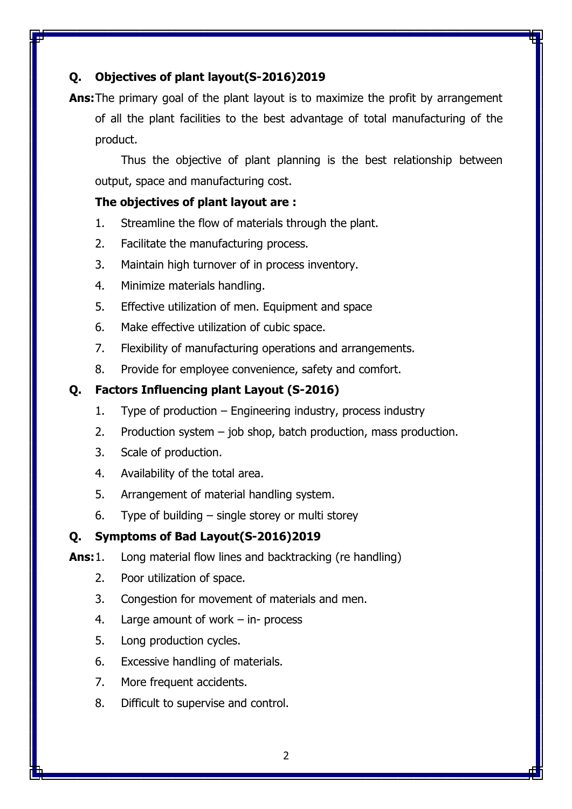## **Q. Objectives of plant layout(S-2016)2019**

**Ans:**The primary goal of the plant layout is to maximize the profit by arrangement of all the plant facilities to the best advantage of total manufacturing of the product.

Thus the objective of plant planning is the best relationship between output, space and manufacturing cost.

## **The objectives of plant layout are :**

- 1. Streamline the flow of materials through the plant.
- 2. Facilitate the manufacturing process.
- 3. Maintain high turnover of in process inventory.
- 4. Minimize materials handling.
- 5. Effective utilization of men. Equipment and space
- 6. Make effective utilization of cubic space.
- 7. Flexibility of manufacturing operations and arrangements.
- 8. Provide for employee convenience, safety and comfort.

## **Q. Factors Influencing plant Layout (S-2016)**

- 1. Type of production Engineering industry, process industry
- 2. Production system  $-$  job shop, batch production, mass production.
- 3. Scale of production.
- 4. Availability of the total area.
- 5. Arrangement of material handling system.
- 6. Type of building single storey or multi storey

### **Q. Symptoms of Bad Layout(S-2016)2019**

- **Ans:**1. Long material flow lines and backtracking (re handling)
	- 2. Poor utilization of space.
	- 3. Congestion for movement of materials and men.
	- 4. Large amount of work in- process
	- 5. Long production cycles.
	- 6. Excessive handling of materials.
	- 7. More frequent accidents.
	- 8. Difficult to supervise and control.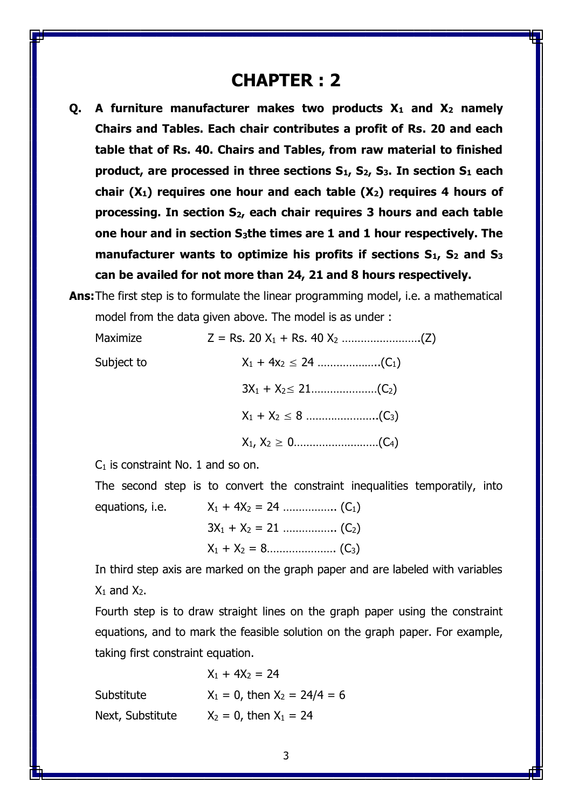# **CHAPTER : 2**

- **Q. A furniture manufacturer makes two products X<sup>1</sup> and X<sup>2</sup> namely Chairs and Tables. Each chair contributes a profit of Rs. 20 and each table that of Rs. 40. Chairs and Tables, from raw material to finished product, are processed in three sections S1, S2, S3. In section S<sup>1</sup> each chair (X1) requires one hour and each table (X2) requires 4 hours of processing. In section S2, each chair requires 3 hours and each table one hour and in section S3the times are 1 and 1 hour respectively. The manufacturer wants to optimize his profits if sections S1, S<sup>2</sup> and S<sup>3</sup> can be availed for not more than 24, 21 and 8 hours respectively.**
- **Ans:**The first step is to formulate the linear programming model, i.e. a mathematical model from the data given above. The model is as under :

| Maximize   |  |
|------------|--|
| Subject to |  |
|            |  |
|            |  |
|            |  |

 $C_1$  is constraint No. 1 and so on.

The second step is to convert the constraint inequalities temporatily, into equations, i.e. X<sup>1</sup> + 4X<sup>2</sup> = 24 …………….. (C1) 3X<sup>1</sup> + X<sup>2</sup> = 21 …………….. (C2)

X<sup>1</sup> + X<sup>2</sup> = 8…………………. (C3)

In third step axis are marked on the graph paper and are labeled with variables  $X_1$  and  $X_2$ .

Fourth step is to draw straight lines on the graph paper using the constraint equations, and to mark the feasible solution on the graph paper. For example, taking first constraint equation.

 $X_1 + 4X_2 = 24$ Substitute  $X_1 = 0$ , then  $X_2 = 24/4 = 6$ Next, Substitute  $X_2 = 0$ , then  $X_1 = 24$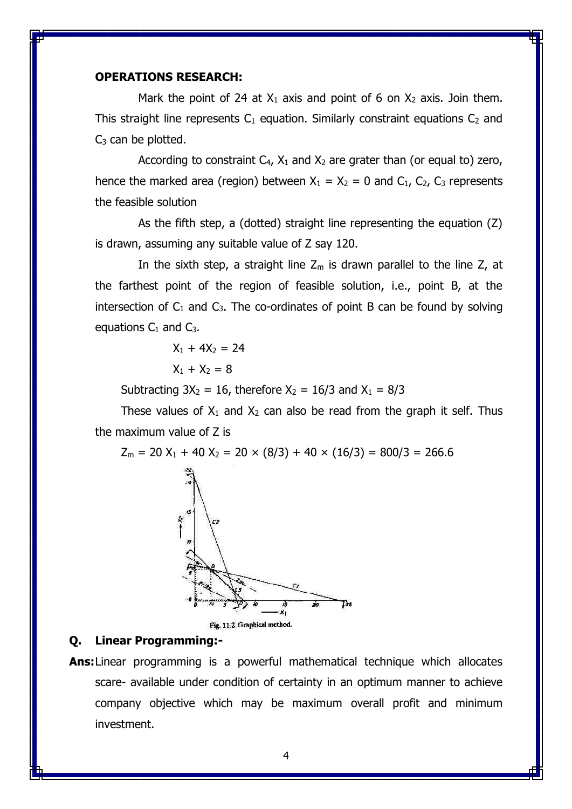#### **OPERATIONS RESEARCH:**

Mark the point of 24 at  $X_1$  axis and point of 6 on  $X_2$  axis. Join them. This straight line represents  $C_1$  equation. Similarly constraint equations  $C_2$  and  $C_3$  can be plotted.

According to constraint  $C_4$ ,  $X_1$  and  $X_2$  are grater than (or equal to) zero, hence the marked area (region) between  $X_1 = X_2 = 0$  and  $C_1$ ,  $C_2$ ,  $C_3$  represents the feasible solution

As the fifth step, a (dotted) straight line representing the equation (Z) is drawn, assuming any suitable value of Z say 120.

In the sixth step, a straight line  $Z_m$  is drawn parallel to the line Z, at the farthest point of the region of feasible solution, i.e., point B, at the intersection of  $C_1$  and  $C_3$ . The co-ordinates of point B can be found by solving equations  $C_1$  and  $C_3$ .

$$
X_1 + 4X_2 = 24
$$
  

$$
X_1 + X_2 = 8
$$

Subtracting  $3X_2 = 16$ , therefore  $X_2 = 16/3$  and  $X_1 = 8/3$ 

These values of  $X_1$  and  $X_2$  can also be read from the graph it self. Thus the maximum value of Z is

 $Z_m = 20 X_1 + 40 X_2 = 20 \times (8/3) + 40 \times (16/3) = 800/3 = 266.6$ 



Fig. 11.2. Graphical method.

## **Q. Linear Programming:-**

**Ans:**Linear programming is a powerful mathematical technique which allocates scare- available under condition of certainty in an optimum manner to achieve company objective which may be maximum overall profit and minimum investment.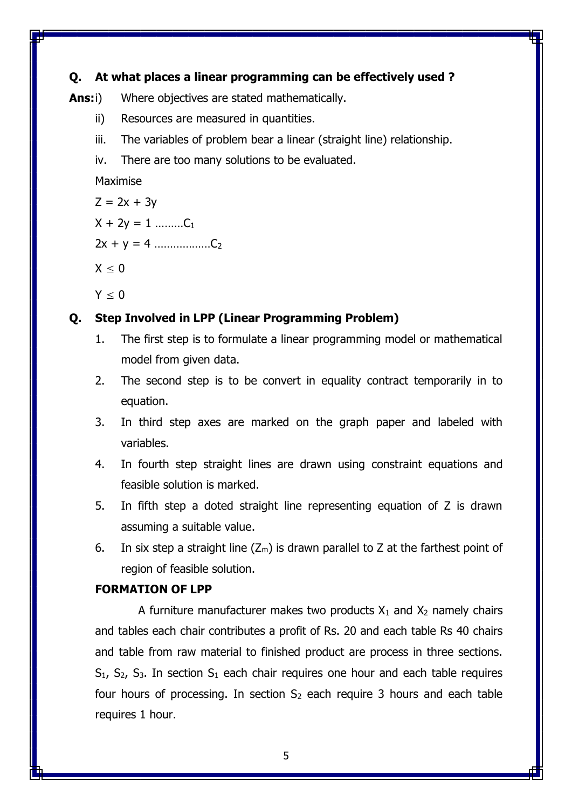## **Q. At what places a linear programming can be effectively used ?**

Ans:i) Where objectives are stated mathematically.

- ii) Resources are measured in quantities.
- iii. The variables of problem bear a linear (straight line) relationship.
- iv. There are too many solutions to be evaluated.

Maximise

$$
Z = 2x + 3y
$$

 $X + 2v = 1$  ………C1

2x + y = 4 ………………C<sup>2</sup>

 $X \leq 0$ 

 $Y < 0$ 

## **Q. Step Involved in LPP (Linear Programming Problem)**

- 1. The first step is to formulate a linear programming model or mathematical model from given data.
- 2. The second step is to be convert in equality contract temporarily in to equation.
- 3. In third step axes are marked on the graph paper and labeled with variables.
- 4. In fourth step straight lines are drawn using constraint equations and feasible solution is marked.
- 5. In fifth step a doted straight line representing equation of Z is drawn assuming a suitable value.
- 6. In six step a straight line  $(Z_m)$  is drawn parallel to Z at the farthest point of region of feasible solution.

## **FORMATION OF LPP**

A furniture manufacturer makes two products  $X_1$  and  $X_2$  namely chairs and tables each chair contributes a profit of Rs. 20 and each table Rs 40 chairs and table from raw material to finished product are process in three sections.  $S_1$ ,  $S_2$ ,  $S_3$ . In section  $S_1$  each chair requires one hour and each table requires four hours of processing. In section  $S_2$  each require 3 hours and each table requires 1 hour.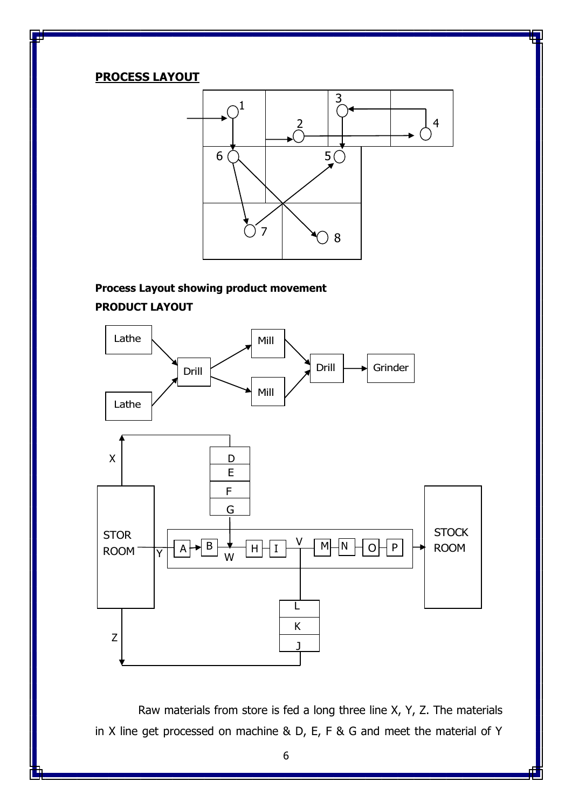### **PROCESS LAYOUT**



## **Process Layout showing product movement PRODUCT LAYOUT**



Raw materials from store is fed a long three line X, Y, Z. The materials in X line get processed on machine & D, E, F & G and meet the material of Y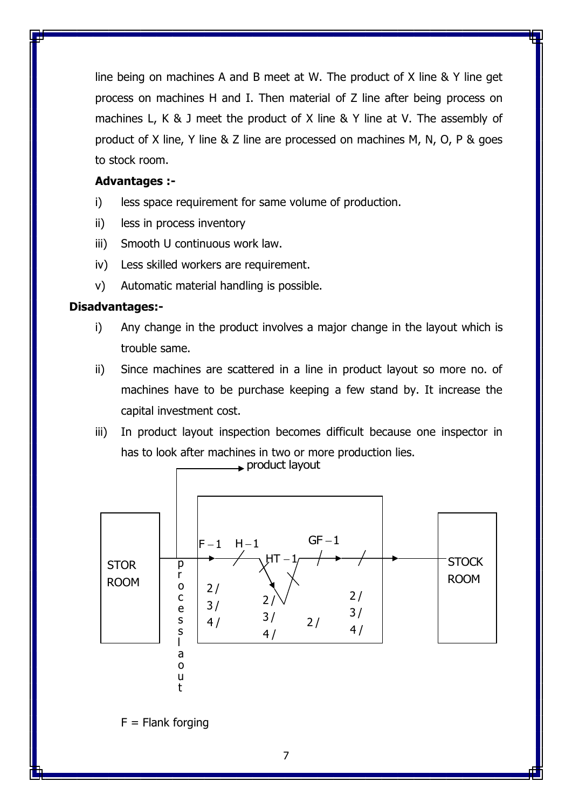line being on machines A and B meet at W. The product of X line & Y line get process on machines H and I. Then material of Z line after being process on machines L, K & J meet the product of X line & Y line at V. The assembly of product of X line, Y line & Z line are processed on machines M, N, O, P & goes to stock room.

## **Advantages :-**

- i) less space requirement for same volume of production.
- ii) less in process inventory
- iii) Smooth U continuous work law.
- iv) Less skilled workers are requirement.
- v) Automatic material handling is possible.

### **Disadvantages:-**

- i) Any change in the product involves a major change in the layout which is trouble same.
- ii) Since machines are scattered in a line in product layout so more no. of machines have to be purchase keeping a few stand by. It increase the capital investment cost.
- iii) In product layout inspection becomes difficult because one inspector in has to look after machines in two or more production lies.



7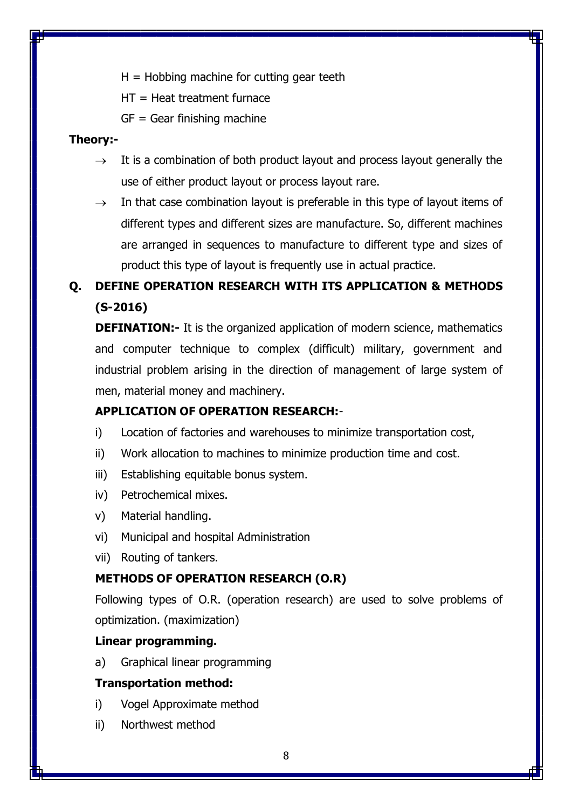$H = H$ obbing machine for cutting gear teeth

HT = Heat treatment furnace

 $GF = Gear$  finishing machine

## **Theory:-**

- $\rightarrow$  It is a combination of both product layout and process layout generally the use of either product layout or process layout rare.
- $\rightarrow$  In that case combination layout is preferable in this type of layout items of different types and different sizes are manufacture. So, different machines are arranged in sequences to manufacture to different type and sizes of product this type of layout is frequently use in actual practice.

# **Q. DEFINE OPERATION RESEARCH WITH ITS APPLICATION & METHODS (S-2016)**

**DEFINATION:-** It is the organized application of modern science, mathematics and computer technique to complex (difficult) military, government and industrial problem arising in the direction of management of large system of men, material money and machinery.

## **APPLICATION OF OPERATION RESEARCH:**-

- i) Location of factories and warehouses to minimize transportation cost,
- ii) Work allocation to machines to minimize production time and cost.
- iii) Establishing equitable bonus system.
- iv) Petrochemical mixes.
- v) Material handling.
- vi) Municipal and hospital Administration
- vii) Routing of tankers.

## **METHODS OF OPERATION RESEARCH (O.R)**

Following types of O.R. (operation research) are used to solve problems of optimization. (maximization)

### **Linear programming.**

a) Graphical linear programming

## **Transportation method:**

- i) Vogel Approximate method
- ii) Northwest method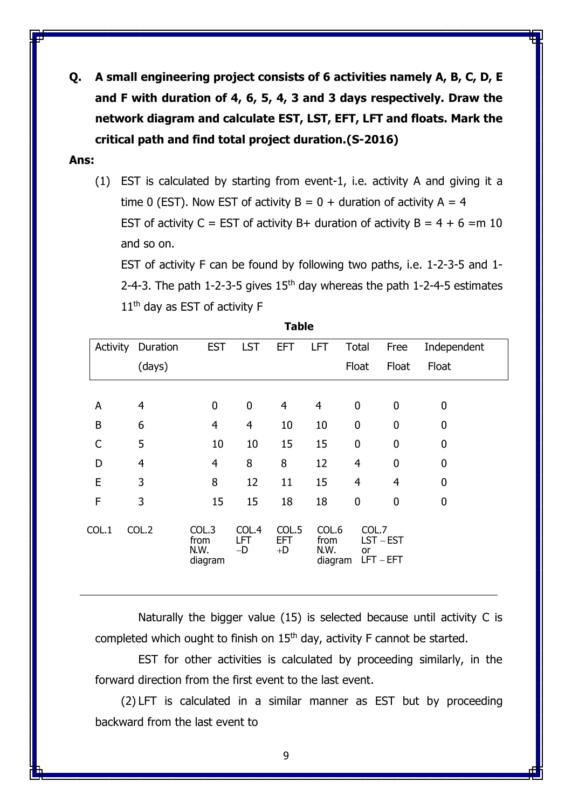**Q. A small engineering project consists of 6 activities namely A, B, C, D, E and F with duration of 4, 6, 5, 4, 3 and 3 days respectively. Draw the network diagram and calculate EST, LST, EFT, LFT and floats. Mark the critical path and find total project duration.(S-2016)**

#### **Ans:**

(1) EST is calculated by starting from event-1, i.e. activity A and giving it a time 0 (EST). Now EST of activity  $B = 0 +$  duration of activity A = 4 EST of activity C = EST of activity B + duration of activity B =  $4 + 6 = m 10$ and so on.

EST of activity F can be found by following two paths, i.e. 1-2-3-5 and 1- 2-4-3. The path 1-2-3-5 gives  $15<sup>th</sup>$  day whereas the path 1-2-4-5 estimates 11<sup>th</sup> day as EST of activity F

|              | Activity Duration | <b>EST</b>                       | <b>LST</b>                  | EFT.                        | <b>LFT</b>                       | Total              | Free                   | Independent |
|--------------|-------------------|----------------------------------|-----------------------------|-----------------------------|----------------------------------|--------------------|------------------------|-------------|
|              | (days)            |                                  |                             |                             |                                  | Float              | Float                  | Float       |
|              |                   |                                  |                             |                             |                                  |                    |                        |             |
| A            | $\overline{4}$    | $\mathbf 0$                      | $\mathbf 0$                 | 4                           | $\overline{4}$                   | 0                  | 0                      | 0           |
| B            | 6                 | $\overline{4}$                   | $\overline{4}$              | 10                          | 10                               | $\boldsymbol{0}$   | 0                      | 0           |
| $\mathsf{C}$ | 5                 | 10                               | 10                          | 15                          | 15                               | $\boldsymbol{0}$   | 0                      | 0           |
| D            | $\overline{4}$    | $\overline{4}$                   | 8                           | 8                           | 12                               | $\overline{4}$     | 0                      | 0           |
| E            | 3                 | 8                                | 12                          | 11                          | 15                               | $\overline{4}$     | 4                      | 0           |
| F            | 3                 | 15                               | 15                          | 18                          | 18                               | 0                  | 0                      | 0           |
| COL.1        | COL.2             | COL.3<br>from<br>N.W.<br>diagram | COL.4<br><b>LFT</b><br>$-D$ | COL.5<br><b>EFT</b><br>$+D$ | COL.6<br>from<br>N.W.<br>diagram | COL.7<br><b>or</b> | LST-EST<br>$LFT - EFT$ |             |

**Table**

Naturally the bigger value (15) is selected because until activity C is completed which ought to finish on  $15<sup>th</sup>$  day, activity F cannot be started.

EST for other activities is calculated by proceeding similarly, in the forward direction from the first event to the last event.

(2) LFT is calculated in a similar manner as EST but by proceeding backward from the last event to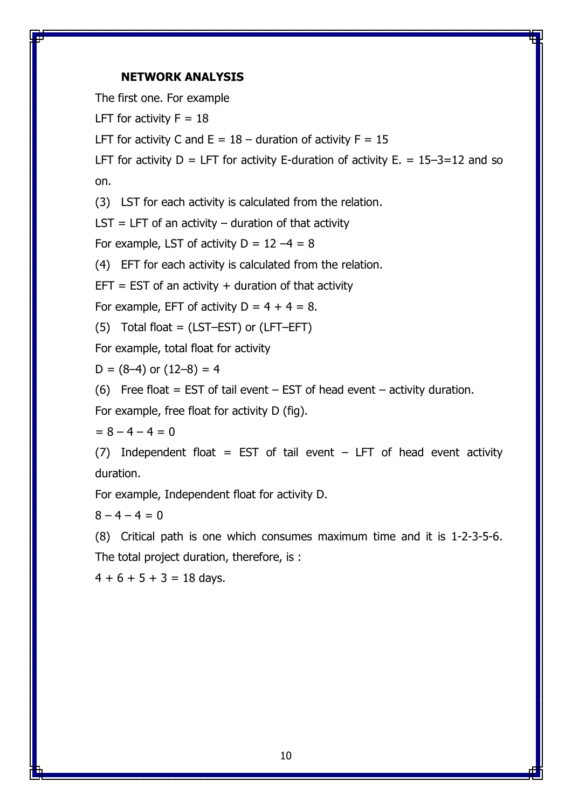### **NETWORK ANALYSIS**

The first one. For example

LFT for activity  $F = 18$ 

LFT for activity C and  $E = 18 -$  duration of activity  $F = 15$ 

LFT for activity  $D = LFT$  for activity E-duration of activity  $E = 15-3=12$  and so on.

(3) LST for each activity is calculated from the relation.

 $LST = LFT$  of an activity – duration of that activity

For example, LST of activity  $D = 12 - 4 = 8$ 

(4) EFT for each activity is calculated from the relation.

 $EFT = EST$  of an activity  $+$  duration of that activity

For example, EFT of activity  $D = 4 + 4 = 8$ .

(5) Total float = (LST–EST) or (LFT–EFT)

For example, total float for activity

 $D = (8-4)$  or  $(12-8) = 4$ 

(6) Free float = EST of tail event  $-$  EST of head event  $-$  activity duration.

For example, free float for activity D (fig).

$$
= 8 - 4 - 4 = 0
$$

(7) Independent float = EST of tail event  $-$  LFT of head event activity duration.

For example, Independent float for activity D.

 $8 - 4 - 4 = 0$ 

(8) Critical path is one which consumes maximum time and it is 1-2-3-5-6. The total project duration, therefore, is :

 $4 + 6 + 5 + 3 = 18$  days.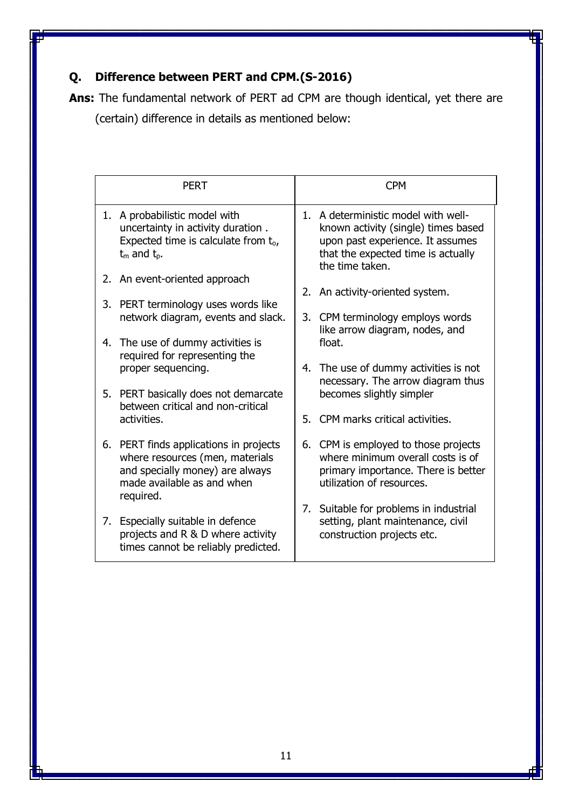# **Q. Difference between PERT and CPM.(S-2016)**

**Ans:** The fundamental network of PERT ad CPM are though identical, yet there are (certain) difference in details as mentioned below:

|    | <b>PERT</b>                                                                                                                                |  | <b>CPM</b>                                                                                                                                                              |  |
|----|--------------------------------------------------------------------------------------------------------------------------------------------|--|-------------------------------------------------------------------------------------------------------------------------------------------------------------------------|--|
|    | 1. A probabilistic model with<br>uncertainty in activity duration.<br>Expected time is calculate from to,<br>$t_m$ and $t_p$ .             |  | 1. A deterministic model with well-<br>known activity (single) times based<br>upon past experience. It assumes<br>that the expected time is actually<br>the time taken. |  |
|    | 2. An event-oriented approach                                                                                                              |  | 2. An activity-oriented system.                                                                                                                                         |  |
|    | 3. PERT terminology uses words like                                                                                                        |  |                                                                                                                                                                         |  |
|    | network diagram, events and slack.                                                                                                         |  | 3. CPM terminology employs words<br>like arrow diagram, nodes, and                                                                                                      |  |
|    | 4. The use of dummy activities is<br>required for representing the                                                                         |  | float.                                                                                                                                                                  |  |
|    | proper sequencing.                                                                                                                         |  | 4. The use of dummy activities is not                                                                                                                                   |  |
|    | 5. PERT basically does not demarcate<br>between critical and non-critical                                                                  |  | necessary. The arrow diagram thus<br>becomes slightly simpler                                                                                                           |  |
|    | activities.                                                                                                                                |  | 5. CPM marks critical activities.                                                                                                                                       |  |
|    | 6. PERT finds applications in projects<br>where resources (men, materials<br>and specially money) are always<br>made available as and when |  | 6. CPM is employed to those projects<br>where minimum overall costs is of<br>primary importance. There is better<br>utilization of resources.                           |  |
|    | required.                                                                                                                                  |  | 7. Suitable for problems in industrial                                                                                                                                  |  |
| 7. | Especially suitable in defence<br>projects and R & D where activity<br>times cannot be reliably predicted.                                 |  | setting, plant maintenance, civil<br>construction projects etc.                                                                                                         |  |
|    |                                                                                                                                            |  |                                                                                                                                                                         |  |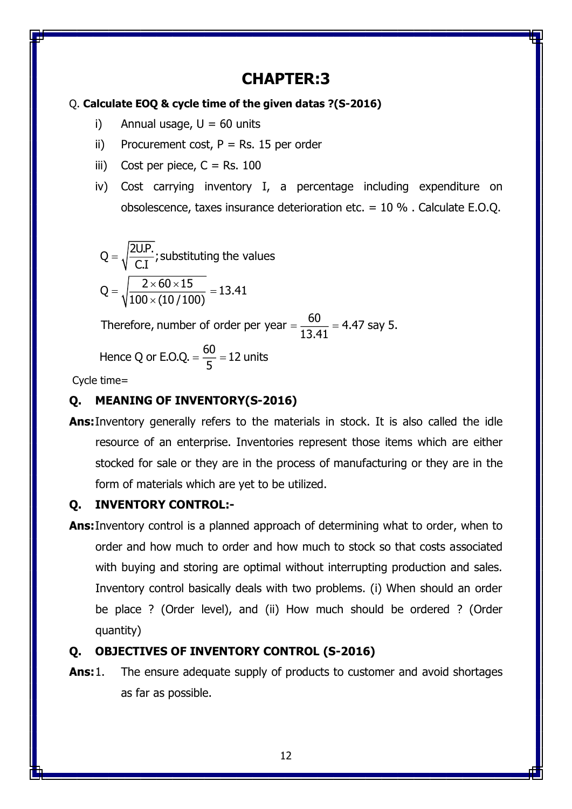# **CHAPTER:3**

## Q. **Calculate EOQ & cycle time of the given datas ?(S-2016)**

- i) Annual usage,  $U = 60$  units
- ii) Procurement cost,  $P = Rs$ . 15 per order
- iii) Cost per piece,  $C = Rs. 100$
- iv) Cost carrying inventory I, a percentage including expenditure on obsolescence, taxes insurance deterioration etc. = 10 % . Calculate E.O.Q.

Q = 
$$
\sqrt{\frac{2UP}{C.I}}
$$
; substituting the values  
Q =  $\sqrt{\frac{2 \times 60 \times 15}{100 \times (10/100)}} = 13.41$ 

Therefore, number of order per year  $=\dfrac{60}{13.41}$  = 4.47 say 5.

Hence Q or E.O.Q. = 
$$
\frac{60}{5}
$$
 = 12 units

Cycle time=

## **Q. MEANING OF INVENTORY(S-2016)**

**Ans:**Inventory generally refers to the materials in stock. It is also called the idle resource of an enterprise. Inventories represent those items which are either stocked for sale or they are in the process of manufacturing or they are in the form of materials which are yet to be utilized.

## **Q. INVENTORY CONTROL:-**

**Ans:**Inventory control is a planned approach of determining what to order, when to order and how much to order and how much to stock so that costs associated with buying and storing are optimal without interrupting production and sales. Inventory control basically deals with two problems. (i) When should an order be place ? (Order level), and (ii) How much should be ordered ? (Order quantity)

## **Q. OBJECTIVES OF INVENTORY CONTROL (S-2016)**

**Ans:**1. The ensure adequate supply of products to customer and avoid shortages as far as possible.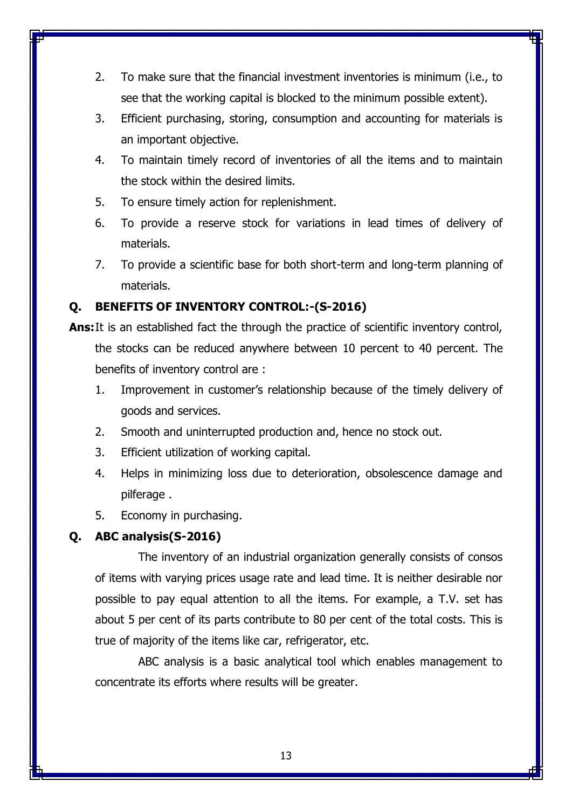- 2. To make sure that the financial investment inventories is minimum (i.e., to see that the working capital is blocked to the minimum possible extent).
- 3. Efficient purchasing, storing, consumption and accounting for materials is an important objective.
- 4. To maintain timely record of inventories of all the items and to maintain the stock within the desired limits.
- 5. To ensure timely action for replenishment.
- 6. To provide a reserve stock for variations in lead times of delivery of materials.
- 7. To provide a scientific base for both short-term and long-term planning of materials.

## **Q. BENEFITS OF INVENTORY CONTROL:-(S-2016)**

**Ans:** It is an established fact the through the practice of scientific inventory control, the stocks can be reduced anywhere between 10 percent to 40 percent. The benefits of inventory control are :

- 1. Improvement in customer's relationship because of the timely delivery of goods and services.
- 2. Smooth and uninterrupted production and, hence no stock out.
- 3. Efficient utilization of working capital.
- 4. Helps in minimizing loss due to deterioration, obsolescence damage and pilferage .
- 5. Economy in purchasing.

## **Q. ABC analysis(S-2016)**

The inventory of an industrial organization generally consists of consos of items with varying prices usage rate and lead time. It is neither desirable nor possible to pay equal attention to all the items. For example, a T.V. set has about 5 per cent of its parts contribute to 80 per cent of the total costs. This is true of majority of the items like car, refrigerator, etc.

ABC analysis is a basic analytical tool which enables management to concentrate its efforts where results will be greater.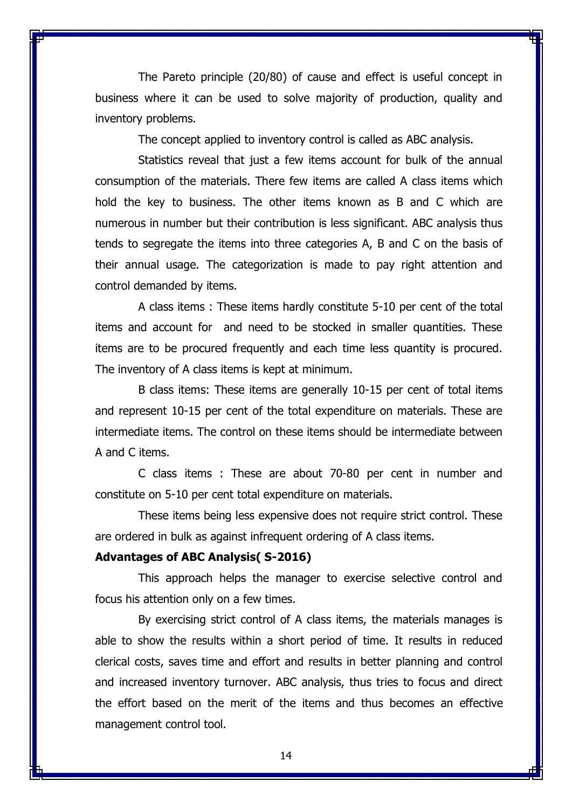The Pareto principle (20/80) of cause and effect is useful concept in business where it can be used to solve majority of production, quality and inventory problems.

The concept applied to inventory control is called as ABC analysis.

Statistics reveal that just a few items account for bulk of the annual consumption of the materials. There few items are called A class items which hold the key to business. The other items known as B and C which are numerous in number but their contribution is less significant. ABC analysis thus tends to segregate the items into three categories A, B and C on the basis of their annual usage. The categorization is made to pay right attention and control demanded by items.

A class items : These items hardly constitute 5-10 per cent of the total items and account for and need to be stocked in smaller quantities. These items are to be procured frequently and each time less quantity is procured. The inventory of A class items is kept at minimum.

B class items: These items are generally 10-15 per cent of total items and represent 10-15 per cent of the total expenditure on materials. These are intermediate items. The control on these items should be intermediate between A and C items.

C class items : These are about 70-80 per cent in number and constitute on 5-10 per cent total expenditure on materials.

These items being less expensive does not require strict control. These are ordered in bulk as against infrequent ordering of A class items.

### **Advantages of ABC Analysis( S-2016)**

This approach helps the manager to exercise selective control and focus his attention only on a few times.

By exercising strict control of A class items, the materials manages is able to show the results within a short period of time. It results in reduced clerical costs, saves time and effort and results in better planning and control and increased inventory turnover. ABC analysis, thus tries to focus and direct the effort based on the merit of the items and thus becomes an effective management control tool.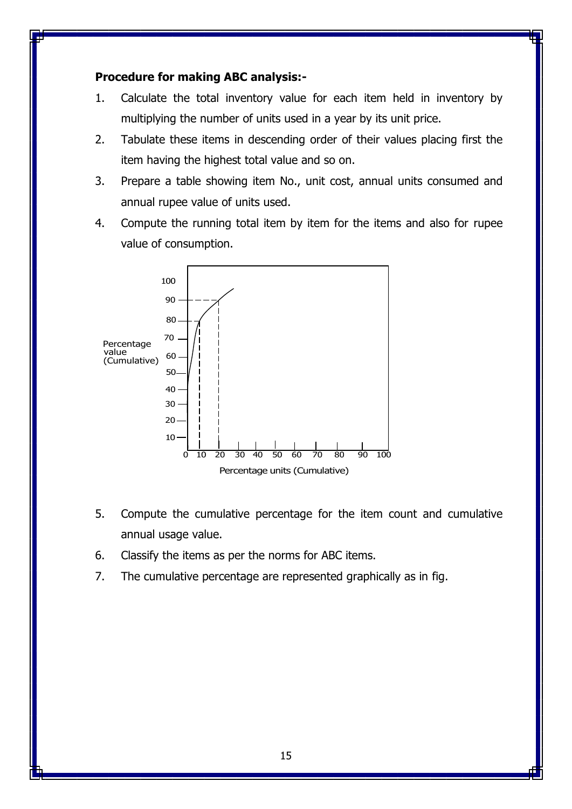## **Procedure for making ABC analysis:-**

- 1. Calculate the total inventory value for each item held in inventory by multiplying the number of units used in a year by its unit price.
- 2. Tabulate these items in descending order of their values placing first the item having the highest total value and so on.
- 3. Prepare a table showing item No., unit cost, annual units consumed and annual rupee value of units used.
- 4. Compute the running total item by item for the items and also for rupee value of consumption.



- 5. Compute the cumulative percentage for the item count and cumulative annual usage value.
- 6. Classify the items as per the norms for ABC items.
- 7. The cumulative percentage are represented graphically as in fig.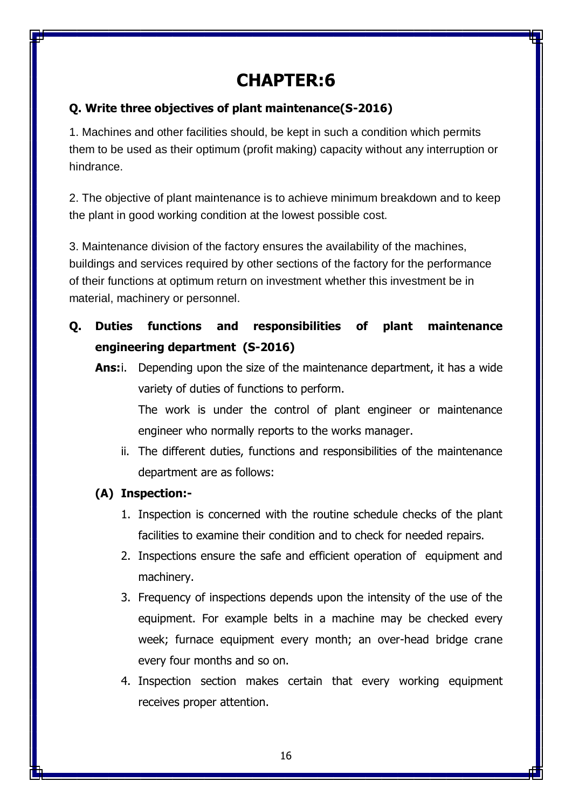# **CHAPTER:6**

## **Q. Write three objectives of plant maintenance(S-2016)**

1. Machines and other facilities should, be kept in such a condition which permits them to be used as their optimum (profit making) capacity without any interruption or hindrance.

2. The objective of plant maintenance is to achieve minimum breakdown and to keep the plant in good working condition at the lowest possible cost.

3. Maintenance division of the factory ensures the availability of the machines, buildings and services required by other sections of the factory for the performance of their functions at optimum return on investment whether this investment be in material, machinery or personnel.

- **Q. Duties functions and responsibilities of plant maintenance engineering department (S-2016)**
	- **Ans:**i. Depending upon the size of the maintenance department, it has a wide variety of duties of functions to perform. The work is under the control of plant engineer or maintenance

engineer who normally reports to the works manager.

ii. The different duties, functions and responsibilities of the maintenance department are as follows:

## **(A) Inspection:-**

- 1. Inspection is concerned with the routine schedule checks of the plant facilities to examine their condition and to check for needed repairs.
- 2. Inspections ensure the safe and efficient operation of equipment and machinery.
- 3. Frequency of inspections depends upon the intensity of the use of the equipment. For example belts in a machine may be checked every week; furnace equipment every month; an over-head bridge crane every four months and so on.
- 4. Inspection section makes certain that every working equipment receives proper attention.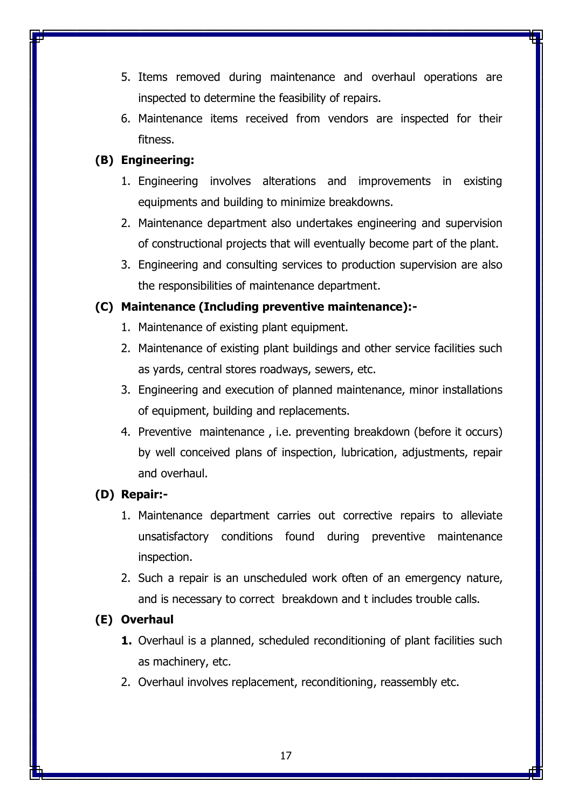- 5. Items removed during maintenance and overhaul operations are inspected to determine the feasibility of repairs.
- 6. Maintenance items received from vendors are inspected for their fitness.

## **(B) Engineering:**

- 1. Engineering involves alterations and improvements in existing equipments and building to minimize breakdowns.
- 2. Maintenance department also undertakes engineering and supervision of constructional projects that will eventually become part of the plant.
- 3. Engineering and consulting services to production supervision are also the responsibilities of maintenance department.

## **(C) Maintenance (Including preventive maintenance):-**

- 1. Maintenance of existing plant equipment.
- 2. Maintenance of existing plant buildings and other service facilities such as yards, central stores roadways, sewers, etc.
- 3. Engineering and execution of planned maintenance, minor installations of equipment, building and replacements.
- 4. Preventive maintenance , i.e. preventing breakdown (before it occurs) by well conceived plans of inspection, lubrication, adjustments, repair and overhaul.

## **(D) Repair:-**

- 1. Maintenance department carries out corrective repairs to alleviate unsatisfactory conditions found during preventive maintenance inspection.
- 2. Such a repair is an unscheduled work often of an emergency nature, and is necessary to correct breakdown and t includes trouble calls.

## **(E) Overhaul**

- **1.** Overhaul is a planned, scheduled reconditioning of plant facilities such as machinery, etc.
- 2. Overhaul involves replacement, reconditioning, reassembly etc.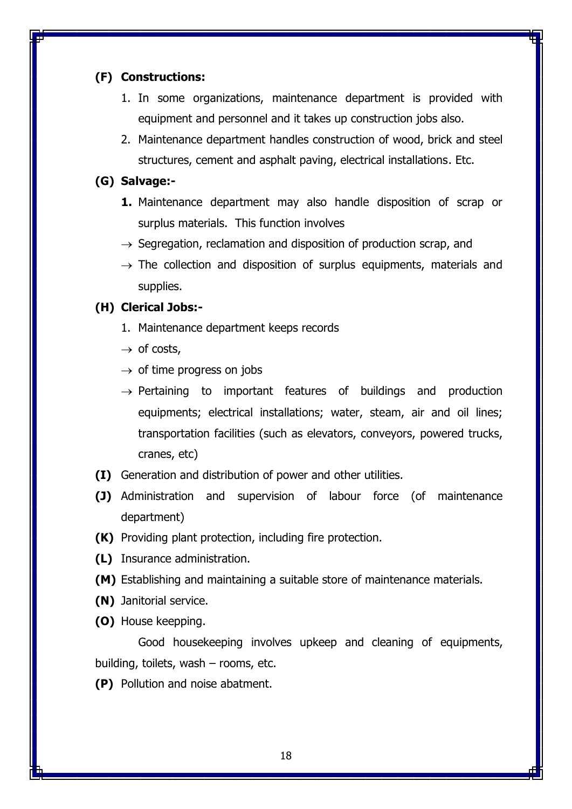## **(F) Constructions:**

- 1. In some organizations, maintenance department is provided with equipment and personnel and it takes up construction jobs also.
- 2. Maintenance department handles construction of wood, brick and steel structures, cement and asphalt paving, electrical installations. Etc.

### **(G) Salvage:-**

- **1.** Maintenance department may also handle disposition of scrap or surplus materials. This function involves
- $\rightarrow$  Segregation, reclamation and disposition of production scrap, and
- $\rightarrow$  The collection and disposition of surplus equipments, materials and supplies.

### **(H) Clerical Jobs:-**

- 1. Maintenance department keeps records
- $\rightarrow$  of costs,
- $\rightarrow$  of time progress on jobs
- $\rightarrow$  Pertaining to important features of buildings and production equipments; electrical installations; water, steam, air and oil lines; transportation facilities (such as elevators, conveyors, powered trucks, cranes, etc)
- **(I)** Generation and distribution of power and other utilities.
- **(J)** Administration and supervision of labour force (of maintenance department)
- **(K)** Providing plant protection, including fire protection.
- **(L)** Insurance administration.
- **(M)** Establishing and maintaining a suitable store of maintenance materials.
- **(N)** Janitorial service.
- **(O)** House keepping.

Good housekeeping involves upkeep and cleaning of equipments, building, toilets, wash – rooms, etc.

**(P)** Pollution and noise abatment.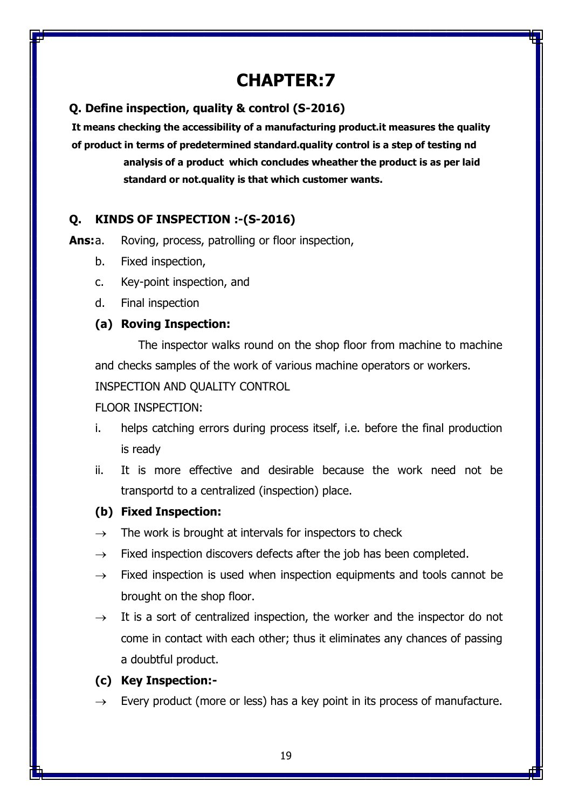# **CHAPTER:7**

## **Q. Define inspection, quality & control (S-2016)**

**It means checking the accessibility of a manufacturing product.it measures the quality of product in terms of predetermined standard.quality control is a step of testing nd analysis of a product which concludes wheather the product is as per laid standard or not.quality is that which customer wants.**

## **Q. KINDS OF INSPECTION :-(S-2016)**

**Ans:**a. Roving, process, patrolling or floor inspection,

- b. Fixed inspection,
- c. Key-point inspection, and
- d. Final inspection

## **(a) Roving Inspection:**

The inspector walks round on the shop floor from machine to machine and checks samples of the work of various machine operators or workers. INSPECTION AND QUALITY CONTROL

## FLOOR INSPECTION:

- i. helps catching errors during process itself, i.e. before the final production is ready
- ii. It is more effective and desirable because the work need not be transportd to a centralized (inspection) place.

## **(b) Fixed Inspection:**

- $\rightarrow$  The work is brought at intervals for inspectors to check
- $\rightarrow$  Fixed inspection discovers defects after the job has been completed.
- $\rightarrow$  Fixed inspection is used when inspection equipments and tools cannot be brought on the shop floor.
- $\rightarrow$  It is a sort of centralized inspection, the worker and the inspector do not come in contact with each other; thus it eliminates any chances of passing a doubtful product.

## **(c) Key Inspection:-**

Every product (more or less) has a key point in its process of manufacture.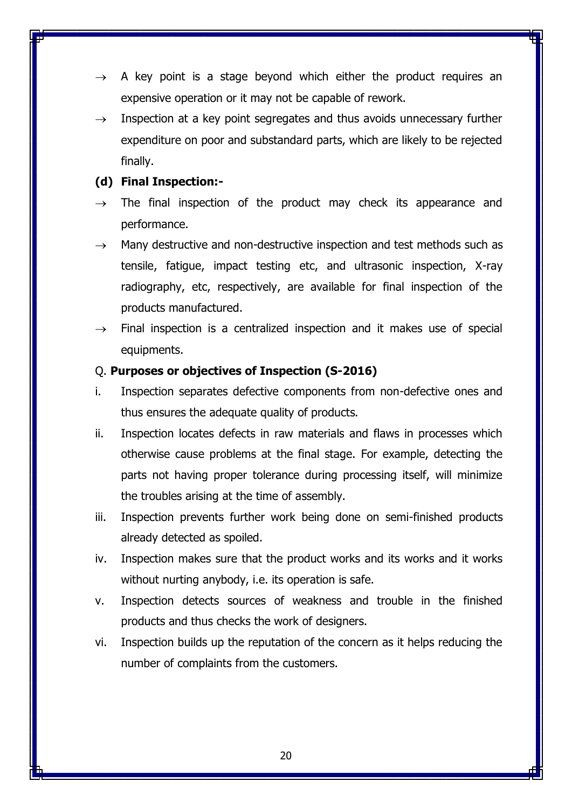- A key point is a stage beyond which either the product requires an expensive operation or it may not be capable of rework.
- $\rightarrow$  Inspection at a key point segregates and thus avoids unnecessary further expenditure on poor and substandard parts, which are likely to be rejected finally.

## **(d) Final Inspection:-**

- $\rightarrow$  The final inspection of the product may check its appearance and performance.
- $\rightarrow$  Many destructive and non-destructive inspection and test methods such as tensile, fatigue, impact testing etc, and ultrasonic inspection, X-ray radiography, etc, respectively, are available for final inspection of the products manufactured.
- $\rightarrow$  Final inspection is a centralized inspection and it makes use of special equipments.

## Q. **Purposes or objectives of Inspection (S-2016)**

- i. Inspection separates defective components from non-defective ones and thus ensures the adequate quality of products.
- ii. Inspection locates defects in raw materials and flaws in processes which otherwise cause problems at the final stage. For example, detecting the parts not having proper tolerance during processing itself, will minimize the troubles arising at the time of assembly.
- iii. Inspection prevents further work being done on semi-finished products already detected as spoiled.
- iv. Inspection makes sure that the product works and its works and it works without nurting anybody, i.e. its operation is safe.
- v. Inspection detects sources of weakness and trouble in the finished products and thus checks the work of designers.
- vi. Inspection builds up the reputation of the concern as it helps reducing the number of complaints from the customers.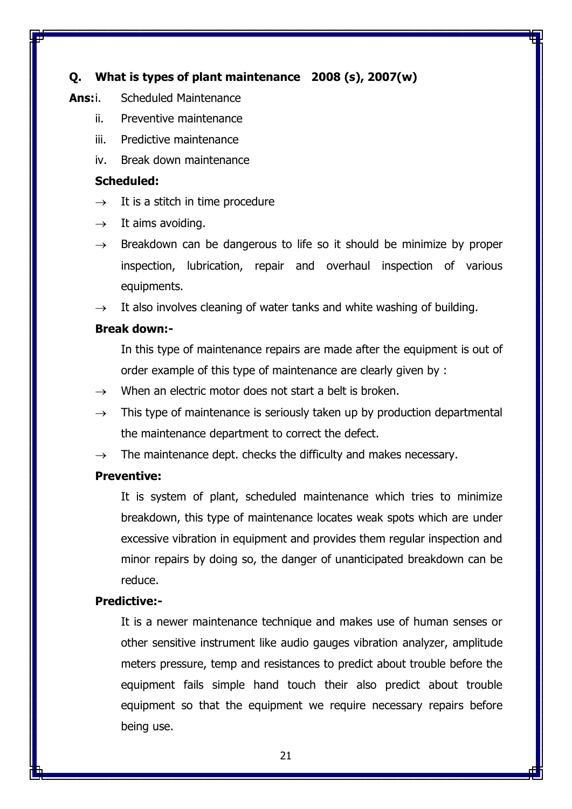## **Q. What is types of plant maintenance 2008 (s), 2007(w)**

### **Ans:**i. Scheduled Maintenance

- ii. Preventive maintenance
- iii. Predictive maintenance
- iv. Break down maintenance

### **Scheduled:**

- $\rightarrow$  It is a stitch in time procedure
- $\rightarrow$  It aims avoiding.
- $\rightarrow$  Breakdown can be dangerous to life so it should be minimize by proper inspection, lubrication, repair and overhaul inspection of various equipments.
- $\rightarrow$  It also involves cleaning of water tanks and white washing of building.

### **Break down:-**

In this type of maintenance repairs are made after the equipment is out of order example of this type of maintenance are clearly given by :

- $\rightarrow$  When an electric motor does not start a belt is broken.
- $\rightarrow$  This type of maintenance is seriously taken up by production departmental the maintenance department to correct the defect.
- $\rightarrow$  The maintenance dept. checks the difficulty and makes necessary.

### **Preventive:**

It is system of plant, scheduled maintenance which tries to minimize breakdown, this type of maintenance locates weak spots which are under excessive vibration in equipment and provides them regular inspection and minor repairs by doing so, the danger of unanticipated breakdown can be reduce.

## **Predictive:-**

It is a newer maintenance technique and makes use of human senses or other sensitive instrument like audio gauges vibration analyzer, amplitude meters pressure, temp and resistances to predict about trouble before the equipment fails simple hand touch their also predict about trouble equipment so that the equipment we require necessary repairs before being use.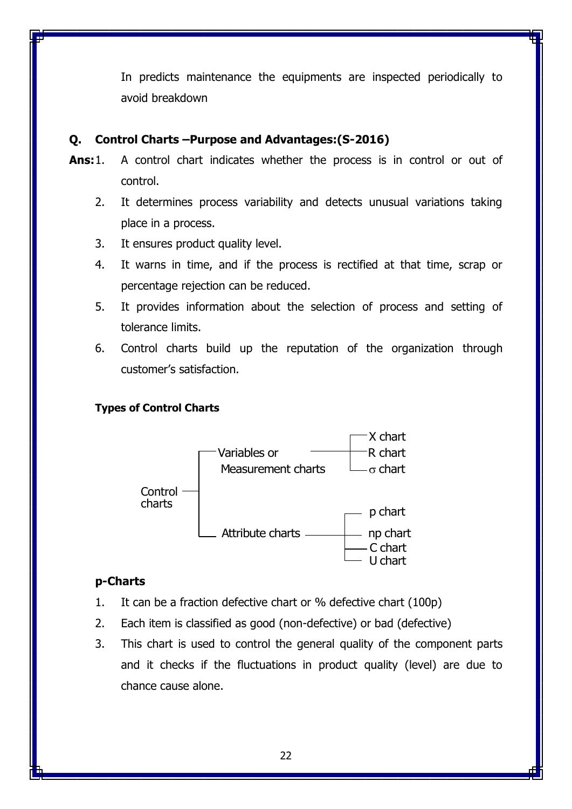In predicts maintenance the equipments are inspected periodically to avoid breakdown

## **Q. Control Charts –Purpose and Advantages:(S-2016)**

- **Ans:**1. A control chart indicates whether the process is in control or out of control.
	- 2. It determines process variability and detects unusual variations taking place in a process.
	- 3. It ensures product quality level.
	- 4. It warns in time, and if the process is rectified at that time, scrap or percentage rejection can be reduced.
	- 5. It provides information about the selection of process and setting of tolerance limits.
	- 6. Control charts build up the reputation of the organization through customer's satisfaction.

## **Types of Control Charts**



## **p-Charts**

- 1. It can be a fraction defective chart or % defective chart (100p)
- 2. Each item is classified as good (non-defective) or bad (defective)
- 3. This chart is used to control the general quality of the component parts and it checks if the fluctuations in product quality (level) are due to chance cause alone.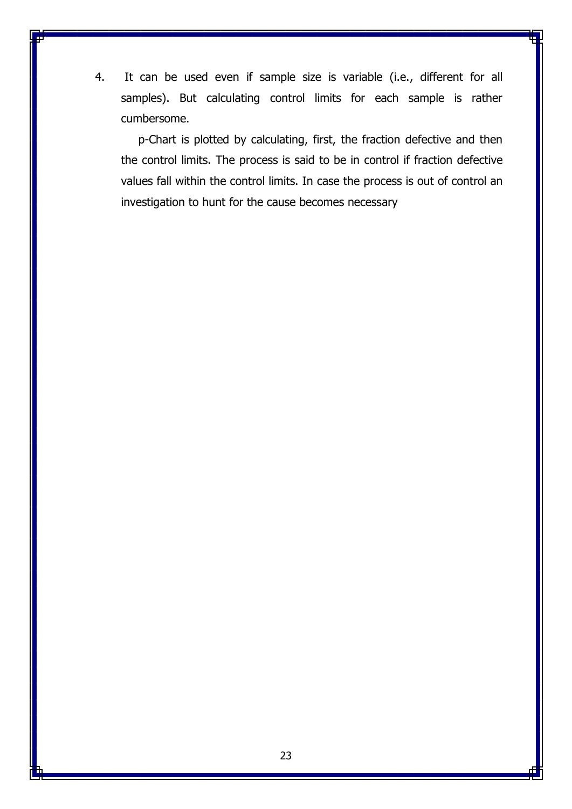4. It can be used even if sample size is variable (i.e., different for all samples). But calculating control limits for each sample is rather cumbersome.

p-Chart is plotted by calculating, first, the fraction defective and then the control limits. The process is said to be in control if fraction defective values fall within the control limits. In case the process is out of control an investigation to hunt for the cause becomes necessary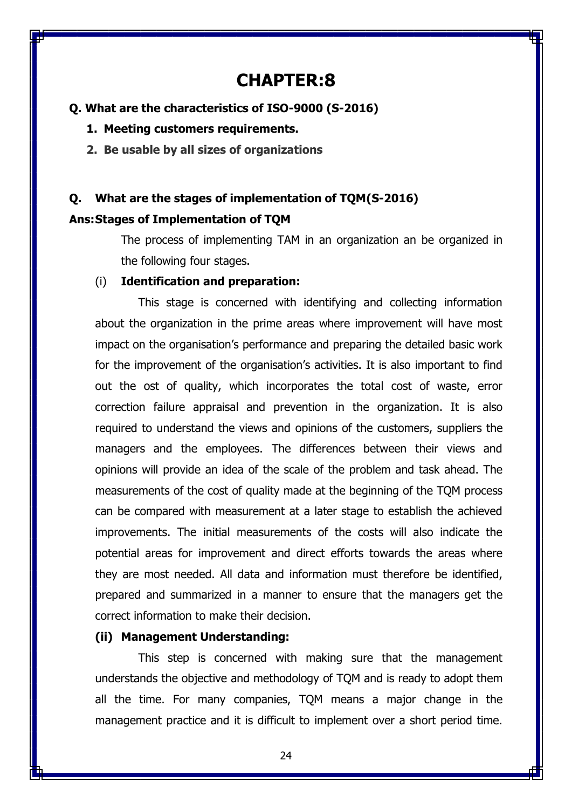# **CHAPTER:8**

## **Q. What are the characteristics of ISO-9000 (S-2016)**

**1. Meeting customers requirements.**

**2. Be usable by all sizes of organizations**

# **Q. What are the stages of implementation of TQM(S-2016) Ans:Stages of Implementation of TQM**

The process of implementing TAM in an organization an be organized in the following four stages.

### (i) **Identification and preparation:**

This stage is concerned with identifying and collecting information about the organization in the prime areas where improvement will have most impact on the organisation's performance and preparing the detailed basic work for the improvement of the organisation's activities. It is also important to find out the ost of quality, which incorporates the total cost of waste, error correction failure appraisal and prevention in the organization. It is also required to understand the views and opinions of the customers, suppliers the managers and the employees. The differences between their views and opinions will provide an idea of the scale of the problem and task ahead. The measurements of the cost of quality made at the beginning of the TQM process can be compared with measurement at a later stage to establish the achieved improvements. The initial measurements of the costs will also indicate the potential areas for improvement and direct efforts towards the areas where they are most needed. All data and information must therefore be identified, prepared and summarized in a manner to ensure that the managers get the correct information to make their decision.

### **(ii) Management Understanding:**

This step is concerned with making sure that the management understands the objective and methodology of TQM and is ready to adopt them all the time. For many companies, TQM means a major change in the management practice and it is difficult to implement over a short period time.

24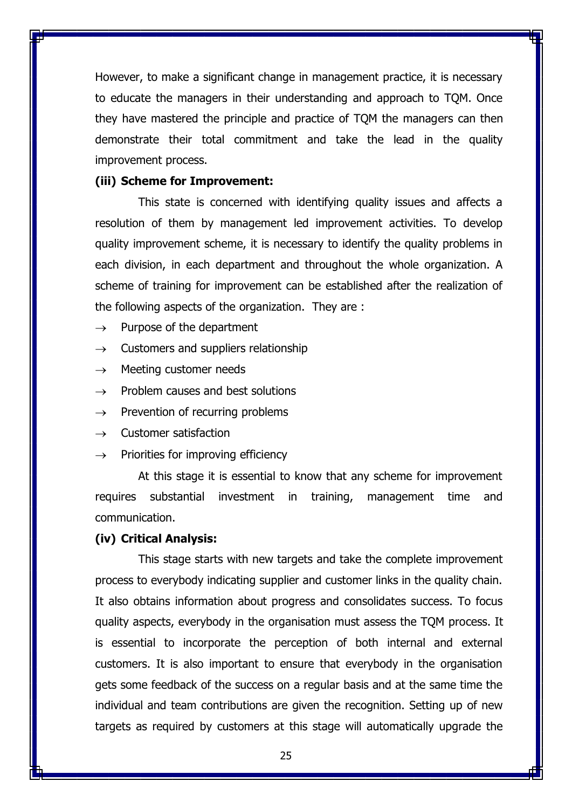However, to make a significant change in management practice, it is necessary to educate the managers in their understanding and approach to TQM. Once they have mastered the principle and practice of TQM the managers can then demonstrate their total commitment and take the lead in the quality improvement process.

### **(iii) Scheme for Improvement:**

This state is concerned with identifying quality issues and affects a resolution of them by management led improvement activities. To develop quality improvement scheme, it is necessary to identify the quality problems in each division, in each department and throughout the whole organization. A scheme of training for improvement can be established after the realization of the following aspects of the organization. They are :

- $\rightarrow$  Purpose of the department
- $\rightarrow$  Customers and suppliers relationship
- $\rightarrow$  Meeting customer needs
- $\rightarrow$  Problem causes and best solutions
- $\rightarrow$  Prevention of recurring problems
- $\rightarrow$  Customer satisfaction
- $\rightarrow$  Priorities for improving efficiency

At this stage it is essential to know that any scheme for improvement requires substantial investment in training, management time and communication.

#### **(iv) Critical Analysis:**

This stage starts with new targets and take the complete improvement process to everybody indicating supplier and customer links in the quality chain. It also obtains information about progress and consolidates success. To focus quality aspects, everybody in the organisation must assess the TQM process. It is essential to incorporate the perception of both internal and external customers. It is also important to ensure that everybody in the organisation gets some feedback of the success on a regular basis and at the same time the individual and team contributions are given the recognition. Setting up of new targets as required by customers at this stage will automatically upgrade the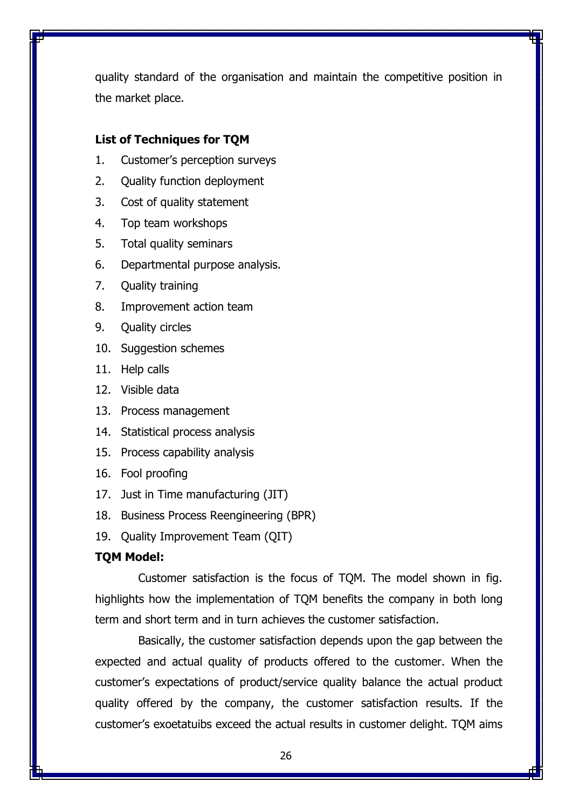quality standard of the organisation and maintain the competitive position in the market place.

## **List of Techniques for TQM**

- 1. Customer's perception surveys
- 2. Quality function deployment
- 3. Cost of quality statement
- 4. Top team workshops
- 5. Total quality seminars
- 6. Departmental purpose analysis.
- 7. Quality training
- 8. Improvement action team
- 9. Quality circles
- 10. Suggestion schemes
- 11. Help calls
- 12. Visible data
- 13. Process management
- 14. Statistical process analysis
- 15. Process capability analysis
- 16. Fool proofing
- 17. Just in Time manufacturing (JIT)
- 18. Business Process Reengineering (BPR)
- 19. Quality Improvement Team (QIT)

## **TQM Model:**

Customer satisfaction is the focus of TQM. The model shown in fig. highlights how the implementation of TQM benefits the company in both long term and short term and in turn achieves the customer satisfaction.

Basically, the customer satisfaction depends upon the gap between the expected and actual quality of products offered to the customer. When the customer's expectations of product/service quality balance the actual product quality offered by the company, the customer satisfaction results. If the customer's exoetatuibs exceed the actual results in customer delight. TQM aims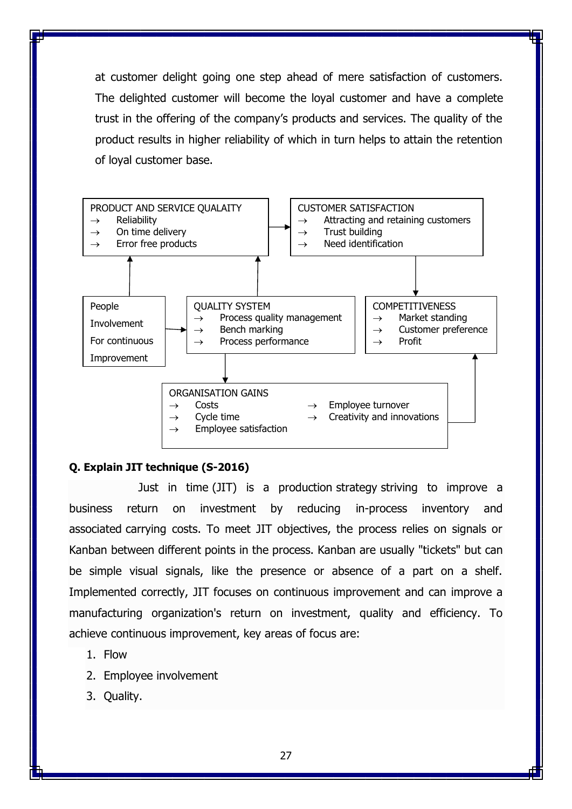at customer delight going one step ahead of mere satisfaction of customers. The delighted customer will become the loyal customer and have a complete trust in the offering of the company's products and services. The quality of the product results in higher reliability of which in turn helps to attain the retention of loyal customer base.



### **Q. Explain JIT technique (S-2016)**

[Just in time](https://www.boundless.com/finance/definition/just-in-time/) (JIT) is a production [strategy](https://www.boundless.com/finance/definition/strategy/) striving to improve a business return on investment by reducing in-process inventory and associated [carrying costs.](https://www.boundless.com/finance/definition/carrying-costs/) To meet JIT objectives, the process relies on signals or Kanban between different points in the process. Kanban are usually "tickets" but can be simple visual signals, like the presence or absence of a part on a shelf. Implemented correctly, JIT focuses on continuous improvement and can improve a manufacturing organization's return on investment, quality and efficiency. To achieve continuous improvement, key areas of focus are:

- 1. Flow
- 2. Employee involvement
- 3. Quality.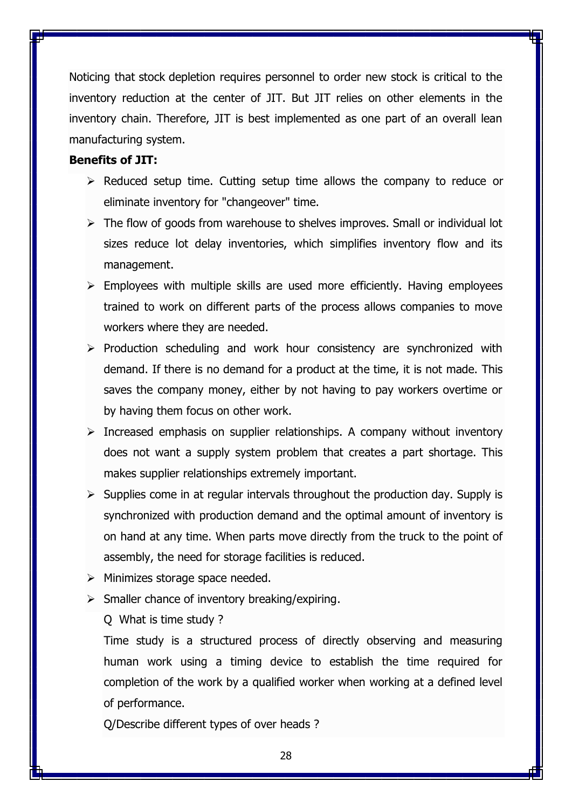Noticing that [stock](https://www.boundless.com/finance/definition/stock/) depletion requires personnel to order new stock is critical to the inventory reduction at the center of JIT. But JIT relies on other elements in the inventory chain. Therefore, JIT is best implemented as one part of an overall lean manufacturing system.

### **Benefits of JIT:**

- $\triangleright$  Reduced setup time. Cutting setup time allows the company to reduce or eliminate inventory for "changeover" time.
- $\triangleright$  The flow of goods from warehouse to shelves improves. Small or individual lot sizes reduce lot delay inventories, which simplifies inventory flow and its management.
- $\triangleright$  Employees with multiple skills are used more efficiently. Having employees trained to work on different parts of the process allows companies to move workers where they are needed.
- $\triangleright$  Production scheduling and work hour consistency are synchronized with demand. If there is no demand for a product at the time, it is not made. This saves the company money, either by not having to pay workers overtime or by having them focus on other work.
- $\triangleright$  Increased emphasis on supplier relationships. A company without inventory does not want a supply system problem that creates a part shortage. This makes supplier relationships extremely important.
- $\triangleright$  Supplies come in at regular intervals throughout the production day. Supply is synchronized with production demand and the optimal amount of inventory is on hand at any time. When parts move directly from the truck to the point of assembly, the need for storage facilities is reduced.
- $\triangleright$  Minimizes storage space needed.
- $\triangleright$  Smaller chance of inventory breaking/expiring.
	- Q What is time study ?

Time study is a structured process of directly observing and measuring human work using a timing device to establish the time required for completion of the work by a qualified worker when working at a defined level of performance.

Q/Describe different types of over heads ?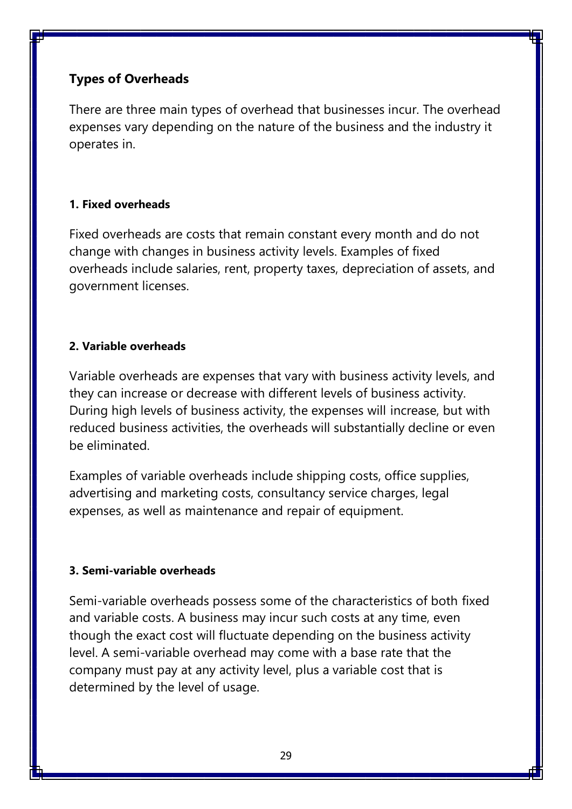## **Types of Overheads**

There are three main types of overhead that businesses incur. The overhead expenses vary depending on the nature of the business and the industry it operates in.

## **1. Fixed overheads**

Fixed overheads are costs that remain constant every month and do not change with changes in business activity levels. Examples of fixed overheads include salaries, rent, property taxes, [depreciation of assets,](https://corporatefinanceinstitute.com/resources/knowledge/accounting/what-is-depreciation-expense/) and government licenses.

## **2. Variable overheads**

Variable overheads are expenses that vary with business activity levels, and they can increase or decrease with different levels of business activity. During high levels of business activity, the expenses will increase, but with reduced business activities, the overheads will substantially decline or even be eliminated.

Examples of variable overheads include shipping costs, office supplies, advertising and marketing costs, [consultancy service charges,](https://corporatefinanceinstitute.com/resources/knowledge/other/retainer-fee/) legal expenses, as well as maintenance and repair of equipment.

## **3. Semi-variable overheads**

Semi-variable overheads possess some of the characteristics of both [fixed](https://corporatefinanceinstitute.com/resources/knowledge/accounting/fixed-and-variable-costs/)  [and variable costs.](https://corporatefinanceinstitute.com/resources/knowledge/accounting/fixed-and-variable-costs/) A business may incur such costs at any time, even though the exact cost will fluctuate depending on the business activity level. A semi-variable overhead may come with a base rate that the company must pay at any activity level, plus a variable cost that is determined by the level of usage.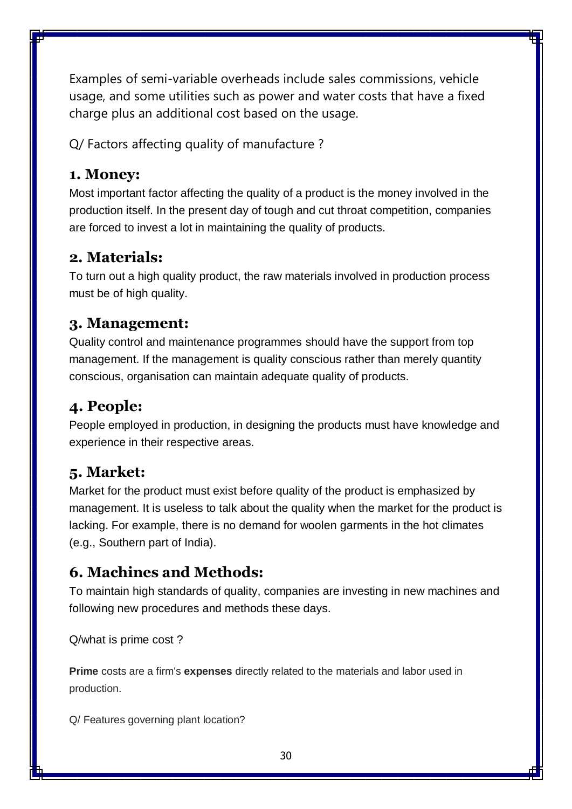Examples of semi-variable overheads include [sales commissions,](https://corporatefinanceinstitute.com/resources/careers/compensation/commission/) vehicle usage, and some utilities such as power and water costs that have a fixed charge plus an additional cost based on the usage.

Q/ Factors affecting quality of manufacture ?

# **1. Money:**

Most important factor affecting the quality of a product is the money involved in the production itself. In the present day of tough and cut throat competition, companies are forced to invest a lot in maintaining the quality of products.

# **2. Materials:**

To turn out a high quality product, the raw materials involved in production process must be of high quality.

# **3. Management:**

Quality control and maintenance programmes should have the support from top management. If the management is quality conscious rather than merely quantity conscious, organisation can maintain adequate quality of products.

# **4. People:**

People employed in production, in designing the products must have knowledge and experience in their respective areas.

# **5. Market:**

Market for the product must exist before quality of the product is emphasized by management. It is useless to talk about the quality when the market for the product is lacking. For example, there is no demand for woolen garments in the hot climates (e.g., Southern part of India).

# **6. Machines and Methods:**

To maintain high standards of quality, companies are investing in new machines and following new procedures and methods these days.

Q/what is prime cost ?

**Prime** costs are a firm's **expenses** directly related to the materials and labor used in production.

Q/ Features governing plant location?